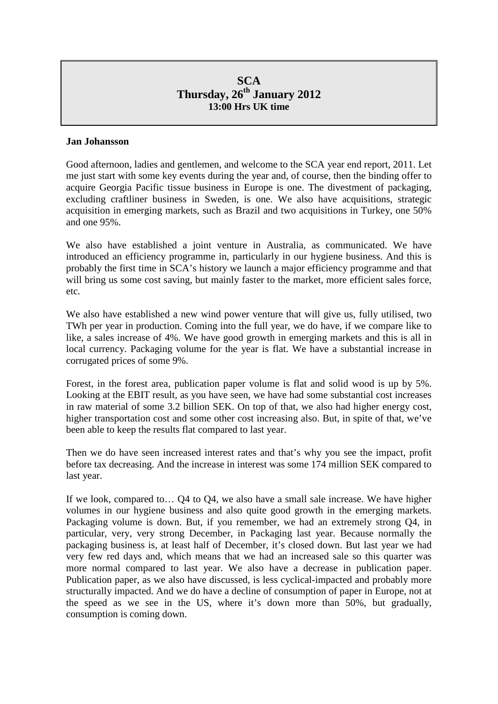# **SCA Thursday, 26th January 2012 13:00 Hrs UK time**

### **Jan Johansson**

Good afternoon, ladies and gentlemen, and welcome to the SCA year end report, 2011. Let me just start with some key events during the year and, of course, then the binding offer to acquire Georgia Pacific tissue business in Europe is one. The divestment of packaging, excluding craftliner business in Sweden, is one. We also have acquisitions, strategic acquisition in emerging markets, such as Brazil and two acquisitions in Turkey, one 50% and one 95%.

We also have established a joint venture in Australia, as communicated. We have introduced an efficiency programme in, particularly in our hygiene business. And this is probably the first time in SCA's history we launch a major efficiency programme and that will bring us some cost saving, but mainly faster to the market, more efficient sales force, etc.

We also have established a new wind power venture that will give us, fully utilised, two TWh per year in production. Coming into the full year, we do have, if we compare like to like, a sales increase of 4%. We have good growth in emerging markets and this is all in local currency. Packaging volume for the year is flat. We have a substantial increase in corrugated prices of some 9%.

Forest, in the forest area, publication paper volume is flat and solid wood is up by 5%. Looking at the EBIT result, as you have seen, we have had some substantial cost increases in raw material of some 3.2 billion SEK. On top of that, we also had higher energy cost, higher transportation cost and some other cost increasing also. But, in spite of that, we've been able to keep the results flat compared to last year.

Then we do have seen increased interest rates and that's why you see the impact, profit before tax decreasing. And the increase in interest was some 174 million SEK compared to last year.

If we look, compared to… Q4 to Q4, we also have a small sale increase. We have higher volumes in our hygiene business and also quite good growth in the emerging markets. Packaging volume is down. But, if you remember, we had an extremely strong Q4, in particular, very, very strong December, in Packaging last year. Because normally the packaging business is, at least half of December, it's closed down. But last year we had very few red days and, which means that we had an increased sale so this quarter was more normal compared to last year. We also have a decrease in publication paper. Publication paper, as we also have discussed, is less cyclical-impacted and probably more structurally impacted. And we do have a decline of consumption of paper in Europe, not at the speed as we see in the US, where it's down more than 50%, but gradually, consumption is coming down.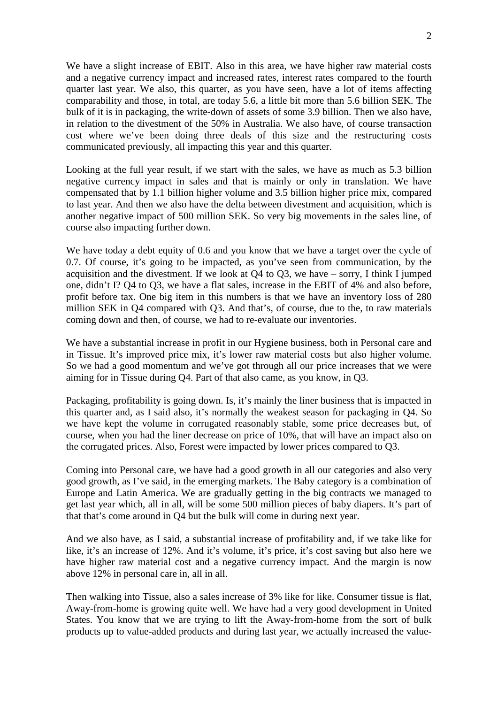We have a slight increase of EBIT. Also in this area, we have higher raw material costs and a negative currency impact and increased rates, interest rates compared to the fourth quarter last year. We also, this quarter, as you have seen, have a lot of items affecting comparability and those, in total, are today 5.6, a little bit more than 5.6 billion SEK. The bulk of it is in packaging, the write-down of assets of some 3.9 billion. Then we also have, in relation to the divestment of the 50% in Australia. We also have, of course transaction cost where we've been doing three deals of this size and the restructuring costs communicated previously, all impacting this year and this quarter.

Looking at the full year result, if we start with the sales, we have as much as 5.3 billion negative currency impact in sales and that is mainly or only in translation. We have compensated that by 1.1 billion higher volume and 3.5 billion higher price mix, compared to last year. And then we also have the delta between divestment and acquisition, which is another negative impact of 500 million SEK. So very big movements in the sales line, of course also impacting further down.

We have today a debt equity of 0.6 and you know that we have a target over the cycle of 0.7. Of course, it's going to be impacted, as you've seen from communication, by the acquisition and the divestment. If we look at Q4 to Q3, we have – sorry, I think I jumped one, didn't I? Q4 to Q3, we have a flat sales, increase in the EBIT of 4% and also before, profit before tax. One big item in this numbers is that we have an inventory loss of 280 million SEK in Q4 compared with Q3. And that's, of course, due to the, to raw materials coming down and then, of course, we had to re-evaluate our inventories.

We have a substantial increase in profit in our Hygiene business, both in Personal care and in Tissue. It's improved price mix, it's lower raw material costs but also higher volume. So we had a good momentum and we've got through all our price increases that we were aiming for in Tissue during Q4. Part of that also came, as you know, in Q3.

Packaging, profitability is going down. Is, it's mainly the liner business that is impacted in this quarter and, as I said also, it's normally the weakest season for packaging in Q4. So we have kept the volume in corrugated reasonably stable, some price decreases but, of course, when you had the liner decrease on price of 10%, that will have an impact also on the corrugated prices. Also, Forest were impacted by lower prices compared to Q3.

Coming into Personal care, we have had a good growth in all our categories and also very good growth, as I've said, in the emerging markets. The Baby category is a combination of Europe and Latin America. We are gradually getting in the big contracts we managed to get last year which, all in all, will be some 500 million pieces of baby diapers. It's part of that that's come around in Q4 but the bulk will come in during next year.

And we also have, as I said, a substantial increase of profitability and, if we take like for like, it's an increase of 12%. And it's volume, it's price, it's cost saving but also here we have higher raw material cost and a negative currency impact. And the margin is now above 12% in personal care in, all in all.

Then walking into Tissue, also a sales increase of 3% like for like. Consumer tissue is flat, Away-from-home is growing quite well. We have had a very good development in United States. You know that we are trying to lift the Away-from-home from the sort of bulk products up to value-added products and during last year, we actually increased the value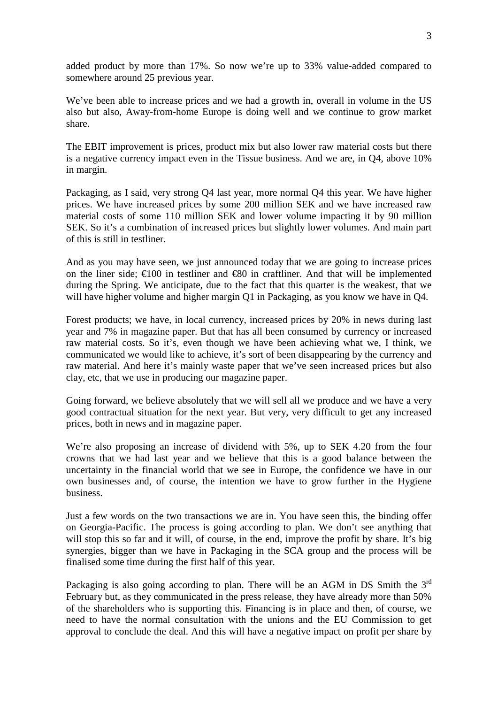added product by more than 17%. So now we're up to 33% value-added compared to somewhere around 25 previous year.

We've been able to increase prices and we had a growth in, overall in volume in the US also but also, Away-from-home Europe is doing well and we continue to grow market share.

The EBIT improvement is prices, product mix but also lower raw material costs but there is a negative currency impact even in the Tissue business. And we are, in Q4, above 10% in margin.

Packaging, as I said, very strong Q4 last year, more normal Q4 this year. We have higher prices. We have increased prices by some 200 million SEK and we have increased raw material costs of some 110 million SEK and lower volume impacting it by 90 million SEK. So it's a combination of increased prices but slightly lower volumes. And main part of this is still in testliner.

And as you may have seen, we just announced today that we are going to increase prices on the liner side;  $\in 100$  in testliner and  $\infty$  in craftliner. And that will be implemented during the Spring. We anticipate, due to the fact that this quarter is the weakest, that we will have higher volume and higher margin Q1 in Packaging, as you know we have in Q4.

Forest products; we have, in local currency, increased prices by 20% in news during last year and 7% in magazine paper. But that has all been consumed by currency or increased raw material costs. So it's, even though we have been achieving what we, I think, we communicated we would like to achieve, it's sort of been disappearing by the currency and raw material. And here it's mainly waste paper that we've seen increased prices but also clay, etc, that we use in producing our magazine paper.

Going forward, we believe absolutely that we will sell all we produce and we have a very good contractual situation for the next year. But very, very difficult to get any increased prices, both in news and in magazine paper.

We're also proposing an increase of dividend with 5%, up to SEK 4.20 from the four crowns that we had last year and we believe that this is a good balance between the uncertainty in the financial world that we see in Europe, the confidence we have in our own businesses and, of course, the intention we have to grow further in the Hygiene business.

Just a few words on the two transactions we are in. You have seen this, the binding offer on Georgia-Pacific. The process is going according to plan. We don't see anything that will stop this so far and it will, of course, in the end, improve the profit by share. It's big synergies, bigger than we have in Packaging in the SCA group and the process will be finalised some time during the first half of this year.

Packaging is also going according to plan. There will be an AGM in DS Smith the  $3<sup>rd</sup>$ February but, as they communicated in the press release, they have already more than 50% of the shareholders who is supporting this. Financing is in place and then, of course, we need to have the normal consultation with the unions and the EU Commission to get approval to conclude the deal. And this will have a negative impact on profit per share by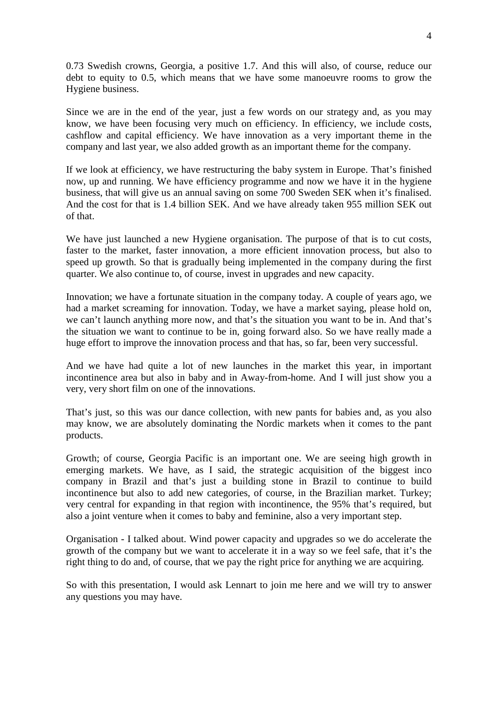0.73 Swedish crowns, Georgia, a positive 1.7. And this will also, of course, reduce our debt to equity to 0.5, which means that we have some manoeuvre rooms to grow the Hygiene business.

Since we are in the end of the year, just a few words on our strategy and, as you may know, we have been focusing very much on efficiency. In efficiency, we include costs, cashflow and capital efficiency. We have innovation as a very important theme in the company and last year, we also added growth as an important theme for the company.

If we look at efficiency, we have restructuring the baby system in Europe. That's finished now, up and running. We have efficiency programme and now we have it in the hygiene business, that will give us an annual saving on some 700 Sweden SEK when it's finalised. And the cost for that is 1.4 billion SEK. And we have already taken 955 million SEK out of that.

We have just launched a new Hygiene organisation. The purpose of that is to cut costs, faster to the market, faster innovation, a more efficient innovation process, but also to speed up growth. So that is gradually being implemented in the company during the first quarter. We also continue to, of course, invest in upgrades and new capacity.

Innovation; we have a fortunate situation in the company today. A couple of years ago, we had a market screaming for innovation. Today, we have a market saying, please hold on, we can't launch anything more now, and that's the situation you want to be in. And that's the situation we want to continue to be in, going forward also. So we have really made a huge effort to improve the innovation process and that has, so far, been very successful.

And we have had quite a lot of new launches in the market this year, in important incontinence area but also in baby and in Away-from-home. And I will just show you a very, very short film on one of the innovations.

That's just, so this was our dance collection, with new pants for babies and, as you also may know, we are absolutely dominating the Nordic markets when it comes to the pant products.

Growth; of course, Georgia Pacific is an important one. We are seeing high growth in emerging markets. We have, as I said, the strategic acquisition of the biggest inco company in Brazil and that's just a building stone in Brazil to continue to build incontinence but also to add new categories, of course, in the Brazilian market. Turkey; very central for expanding in that region with incontinence, the 95% that's required, but also a joint venture when it comes to baby and feminine, also a very important step.

Organisation - I talked about. Wind power capacity and upgrades so we do accelerate the growth of the company but we want to accelerate it in a way so we feel safe, that it's the right thing to do and, of course, that we pay the right price for anything we are acquiring.

So with this presentation, I would ask Lennart to join me here and we will try to answer any questions you may have.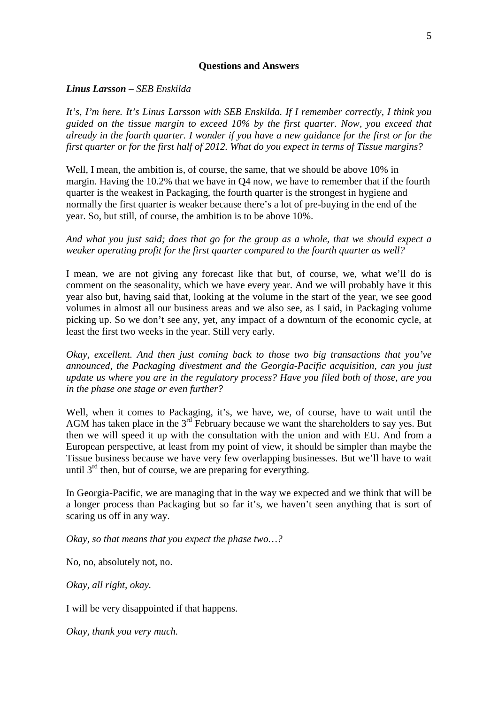#### **Questions and Answers**

*Linus Larsson – SEB Enskilda*

*It's, I'm here. It's Linus Larsson with SEB Enskilda. If I remember correctly, I think you guided on the tissue margin to exceed 10% by the first quarter. Now, you exceed that already in the fourth quarter. I wonder if you have a new guidance for the first or for the first quarter or for the first half of 2012. What do you expect in terms of Tissue margins?*

Well, I mean, the ambition is, of course, the same, that we should be above 10% in margin. Having the 10.2% that we have in Q4 now, we have to remember that if the fourth quarter is the weakest in Packaging, the fourth quarter is the strongest in hygiene and normally the first quarter is weaker because there's a lot of pre-buying in the end of the year. So, but still, of course, the ambition is to be above 10%.

*And what you just said; does that go for the group as a whole, that we should expect a weaker operating profit for the first quarter compared to the fourth quarter as well?*

I mean, we are not giving any forecast like that but, of course, we, what we'll do is comment on the seasonality, which we have every year. And we will probably have it this year also but, having said that, looking at the volume in the start of the year, we see good volumes in almost all our business areas and we also see, as I said, in Packaging volume picking up. So we don't see any, yet, any impact of a downturn of the economic cycle, at least the first two weeks in the year. Still very early.

*Okay, excellent. And then just coming back to those two big transactions that you've announced, the Packaging divestment and the Georgia-Pacific acquisition, can you just update us where you are in the regulatory process? Have you filed both of those, are you in the phase one stage or even further?*

Well, when it comes to Packaging, it's, we have, we, of course, have to wait until the AGM has taken place in the  $3<sup>rd</sup>$  February because we want the shareholders to say yes. But then we will speed it up with the consultation with the union and with EU. And from a European perspective, at least from my point of view, it should be simpler than maybe the Tissue business because we have very few overlapping businesses. But we'll have to wait until  $3<sup>rd</sup>$  then, but of course, we are preparing for everything.

In Georgia-Pacific, we are managing that in the way we expected and we think that will be a longer process than Packaging but so far it's, we haven't seen anything that is sort of scaring us off in any way.

*Okay, so that means that you expect the phase two…?*

No, no, absolutely not, no.

*Okay, all right, okay.*

I will be very disappointed if that happens.

*Okay, thank you very much.*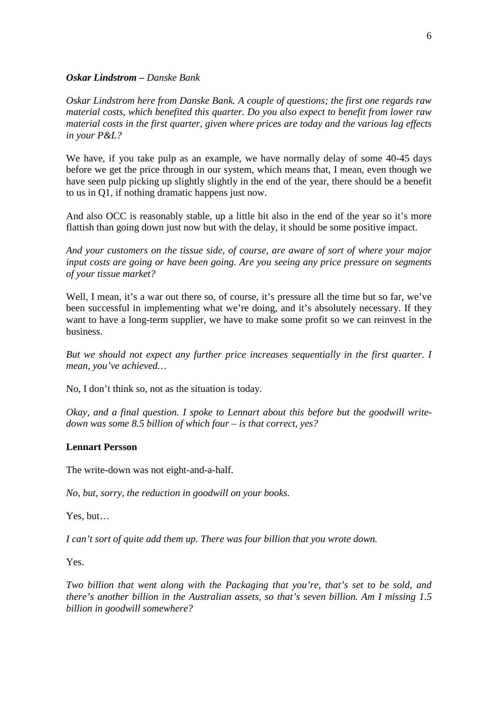#### *Oskar Lindstrom – Danske Bank*

*Oskar Lindstrom here from Danske Bank. A couple of questions; the first one regards raw material costs, which benefited this quarter. Do you also expect to benefit from lower raw material costs in the first quarter, given where prices are today and the various lag effects in your P&L?*

We have, if you take pulp as an example, we have normally delay of some 40-45 days before we get the price through in our system, which means that, I mean, even though we have seen pulp picking up slightly slightly in the end of the year, there should be a benefit to us in Q1, if nothing dramatic happens just now.

And also OCC is reasonably stable, up a little bit also in the end of the year so it's more flattish than going down just now but with the delay, it should be some positive impact.

*And your customers on the tissue side, of course, are aware of sort of where your major input costs are going or have been going. Are you seeing any price pressure on segments of your tissue market?*

Well, I mean, it's a war out there so, of course, it's pressure all the time but so far, we've been successful in implementing what we're doing, and it's absolutely necessary. If they want to have a long-term supplier, we have to make some profit so we can reinvest in the business.

*But we should not expect any further price increases sequentially in the first quarter. I mean, you've achieved…*

No, I don't think so, not as the situation is today.

*Okay, and a final question. I spoke to Lennart about this before but the goodwill writedown was some 8.5 billion of which four – is that correct, yes?*

### **Lennart Persson**

The write-down was not eight-and-a-half.

*No, but, sorry, the reduction in goodwill on your books.*

Yes, but…

*I can't sort of quite add them up. There was four billion that you wrote down.*

Yes.

*Two billion that went along with the Packaging that you're, that's set to be sold, and there's another billion in the Australian assets, so that's seven billion. Am I missing 1.5 billion in goodwill somewhere?*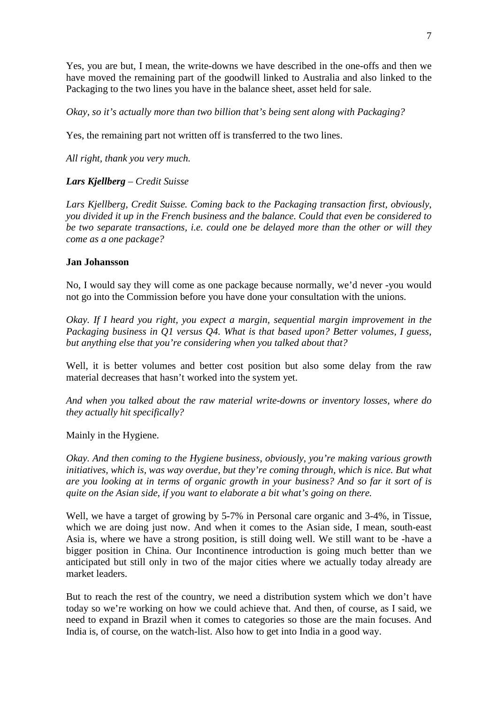Yes, you are but, I mean, the write-downs we have described in the one-offs and then we have moved the remaining part of the goodwill linked to Australia and also linked to the Packaging to the two lines you have in the balance sheet, asset held for sale.

*Okay, so it's actually more than two billion that's being sent along with Packaging?*

Yes, the remaining part not written off is transferred to the two lines.

*All right, thank you very much.*

## *Lars Kjellberg – Credit Suisse*

*Lars Kjellberg, Credit Suisse. Coming back to the Packaging transaction first, obviously, you divided it up in the French business and the balance. Could that even be considered to be two separate transactions, i.e. could one be delayed more than the other or will they come as a one package?*

### **Jan Johansson**

No, I would say they will come as one package because normally, we'd never -you would not go into the Commission before you have done your consultation with the unions.

*Okay. If I heard you right, you expect a margin, sequential margin improvement in the Packaging business in Q1 versus Q4. What is that based upon? Better volumes, I guess, but anything else that you're considering when you talked about that?*

Well, it is better volumes and better cost position but also some delay from the raw material decreases that hasn't worked into the system yet.

*And when you talked about the raw material write-downs or inventory losses, where do they actually hit specifically?*

Mainly in the Hygiene.

*Okay. And then coming to the Hygiene business, obviously, you're making various growth initiatives, which is, was way overdue, but they're coming through, which is nice. But what are you looking at in terms of organic growth in your business? And so far it sort of is quite on the Asian side, if you want to elaborate a bit what's going on there.*

Well, we have a target of growing by 5-7% in Personal care organic and 3-4%, in Tissue, which we are doing just now. And when it comes to the Asian side, I mean, south-east Asia is, where we have a strong position, is still doing well. We still want to be -have a bigger position in China. Our Incontinence introduction is going much better than we anticipated but still only in two of the major cities where we actually today already are market leaders.

But to reach the rest of the country, we need a distribution system which we don't have today so we're working on how we could achieve that. And then, of course, as I said, we need to expand in Brazil when it comes to categories so those are the main focuses. And India is, of course, on the watch-list. Also how to get into India in a good way.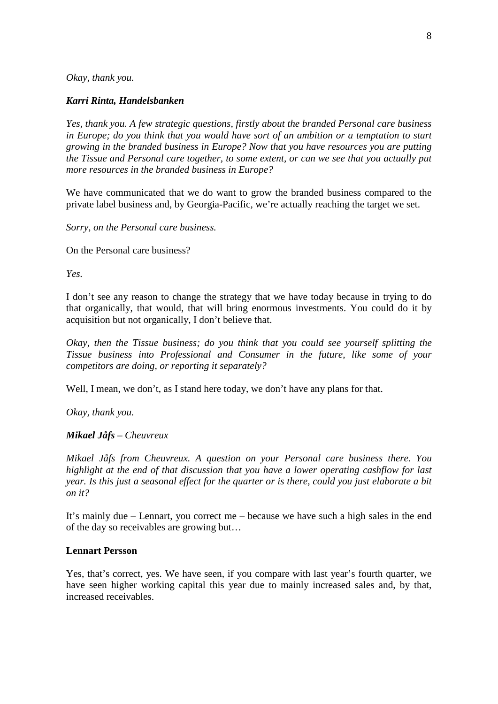*Okay, thank you.*

#### *Karri Rinta, Handelsbanken*

*Yes, thank you. A few strategic questions, firstly about the branded Personal care business in Europe; do you think that you would have sort of an ambition or a temptation to start growing in the branded business in Europe? Now that you have resources you are putting the Tissue and Personal care together, to some extent, or can we see that you actually put more resources in the branded business in Europe?*

We have communicated that we do want to grow the branded business compared to the private label business and, by Georgia-Pacific, we're actually reaching the target we set.

*Sorry, on the Personal care business.*

On the Personal care business?

*Yes.*

I don't see any reason to change the strategy that we have today because in trying to do that organically, that would, that will bring enormous investments. You could do it by acquisition but not organically, I don't believe that.

*Okay, then the Tissue business; do you think that you could see yourself splitting the Tissue business into Professional and Consumer in the future, like some of your competitors are doing, or reporting it separately?*

Well, I mean, we don't, as I stand here today, we don't have any plans for that.

*Okay, thank you.*

#### *Mikael Jåfs – Cheuvreux*

*Mikael Jåfs from Cheuvreux. A question on your Personal care business there. You highlight at the end of that discussion that you have a lower operating cashflow for last year. Is this just a seasonal effect for the quarter or is there, could you just elaborate a bit on it?*

It's mainly due – Lennart, you correct me – because we have such a high sales in the end of the day so receivables are growing but…

#### **Lennart Persson**

Yes, that's correct, yes. We have seen, if you compare with last year's fourth quarter, we have seen higher working capital this year due to mainly increased sales and, by that, increased receivables.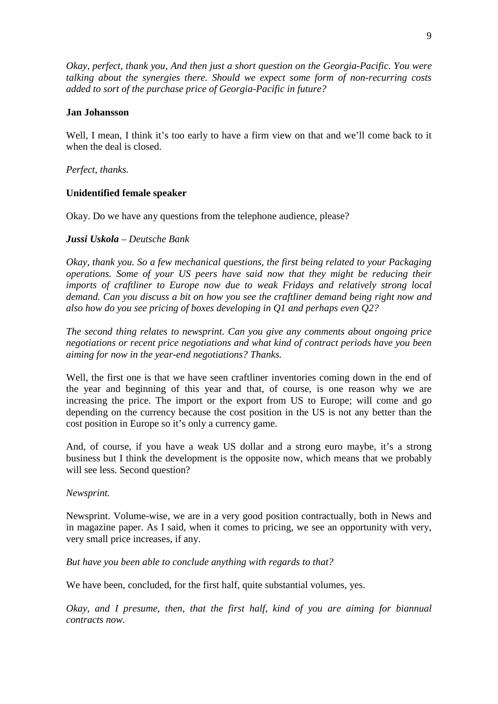*Okay, perfect, thank you, And then just a short question on the Georgia-Pacific. You were talking about the synergies there. Should we expect some form of non-recurring costs added to sort of the purchase price of Georgia-Pacific in future?*

### **Jan Johansson**

Well, I mean, I think it's too early to have a firm view on that and we'll come back to it when the deal is closed.

*Perfect, thanks.*

### **Unidentified female speaker**

Okay. Do we have any questions from the telephone audience, please?

### *Jussi Uskola – Deutsche Bank*

*Okay, thank you. So a few mechanical questions, the first being related to your Packaging operations. Some of your US peers have said now that they might be reducing their imports of craftliner to Europe now due to weak Fridays and relatively strong local demand. Can you discuss a bit on how you see the craftliner demand being right now and also how do you see pricing of boxes developing in Q1 and perhaps even Q2?*

*The second thing relates to newsprint. Can you give any comments about ongoing price negotiations or recent price negotiations and what kind of contract periods have you been aiming for now in the year-end negotiations? Thanks.*

Well, the first one is that we have seen craftliner inventories coming down in the end of the year and beginning of this year and that, of course, is one reason why we are increasing the price. The import or the export from US to Europe; will come and go depending on the currency because the cost position in the US is not any better than the cost position in Europe so it's only a currency game.

And, of course, if you have a weak US dollar and a strong euro maybe, it's a strong business but I think the development is the opposite now, which means that we probably will see less. Second question?

### *Newsprint.*

Newsprint. Volume-wise, we are in a very good position contractually, both in News and in magazine paper. As I said, when it comes to pricing, we see an opportunity with very, very small price increases, if any.

*But have you been able to conclude anything with regards to that?*

We have been, concluded, for the first half, quite substantial volumes, yes.

*Okay, and I presume, then, that the first half, kind of you are aiming for biannual contracts now.*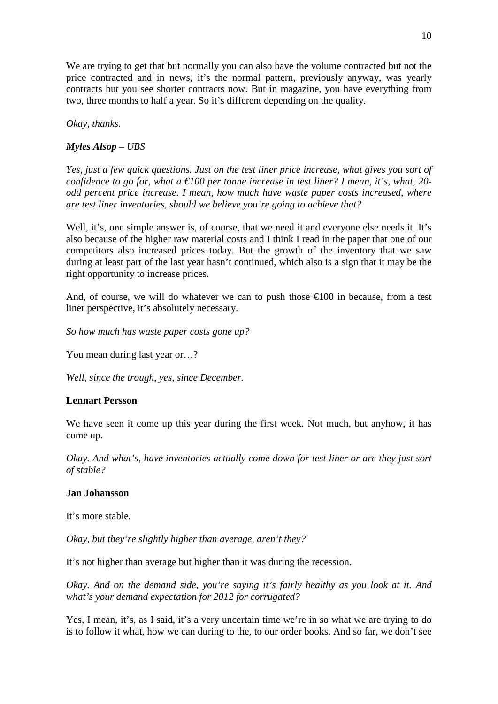We are trying to get that but normally you can also have the volume contracted but not the price contracted and in news, it's the normal pattern, previously anyway, was yearly contracts but you see shorter contracts now. But in magazine, you have everything from two, three months to half a year. So it's different depending on the quality.

*Okay, thanks.*

### *Myles Alsop – UBS*

*Yes, just a few quick questions. Just on the test liner price increase, what gives you sort of confidence to go for, what a €100 per tonne increase in test liner? I mean, it's, what, 20 odd percent price increase. I mean, how much have waste paper costs increased, where are test liner inventories, should we believe you're going to achieve that?*

Well, it's, one simple answer is, of course, that we need it and everyone else needs it. It's also because of the higher raw material costs and I think I read in the paper that one of our competitors also increased prices today. But the growth of the inventory that we saw during at least part of the last year hasn't continued, which also is a sign that it may be the right opportunity to increase prices.

And, of course, we will do whatever we can to push those  $\epsilon 100$  in because, from a test liner perspective, it's absolutely necessary.

*So how much has waste paper costs gone up?*

You mean during last year or…?

*Well, since the trough, yes, since December.*

### **Lennart Persson**

We have seen it come up this year during the first week. Not much, but anyhow, it has come up.

*Okay. And what's, have inventories actually come down for test liner or are they just sort of stable?*

#### **Jan Johansson**

It's more stable.

*Okay, but they're slightly higher than average, aren't they?*

It's not higher than average but higher than it was during the recession.

*Okay. And on the demand side, you're saying it's fairly healthy as you look at it. And what's your demand expectation for 2012 for corrugated?*

Yes, I mean, it's, as I said, it's a very uncertain time we're in so what we are trying to do is to follow it what, how we can during to the, to our order books. And so far, we don't see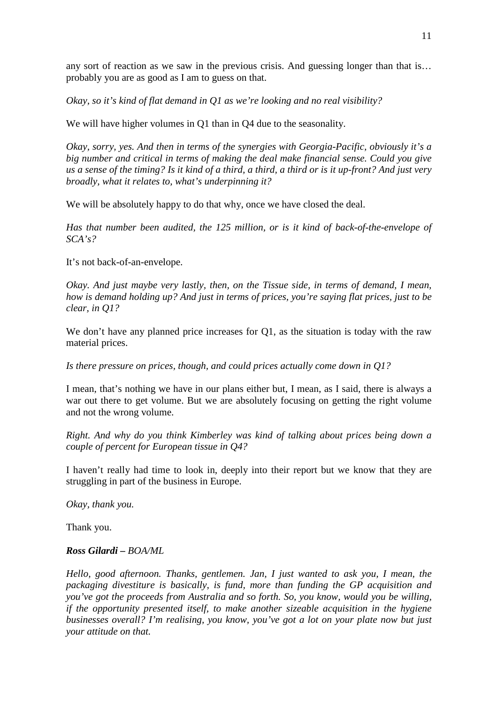any sort of reaction as we saw in the previous crisis. And guessing longer than that is… probably you are as good as I am to guess on that.

*Okay, so it's kind of flat demand in Q1 as we're looking and no real visibility?*

We will have higher volumes in Q1 than in Q4 due to the seasonality.

*Okay, sorry, yes. And then in terms of the synergies with Georgia-Pacific, obviously it's a big number and critical in terms of making the deal make financial sense. Could you give us a sense of the timing? Is it kind of a third, a third, a third or is it up-front? And just very broadly, what it relates to, what's underpinning it?*

We will be absolutely happy to do that why, once we have closed the deal.

*Has that number been audited, the 125 million, or is it kind of back-of-the-envelope of SCA's?*

It's not back-of-an-envelope.

*Okay. And just maybe very lastly, then, on the Tissue side, in terms of demand, I mean, how is demand holding up? And just in terms of prices, you're saying flat prices, just to be clear, in Q1?*

We don't have any planned price increases for Q1, as the situation is today with the raw material prices.

*Is there pressure on prices, though, and could prices actually come down in Q1?*

I mean, that's nothing we have in our plans either but, I mean, as I said, there is always a war out there to get volume. But we are absolutely focusing on getting the right volume and not the wrong volume.

*Right. And why do you think Kimberley was kind of talking about prices being down a couple of percent for European tissue in Q4?*

I haven't really had time to look in, deeply into their report but we know that they are struggling in part of the business in Europe.

*Okay, thank you.*

Thank you.

#### *Ross Gilardi – BOA/ML*

*Hello, good afternoon. Thanks, gentlemen. Jan, I just wanted to ask you, I mean, the packaging divestiture is basically, is fund, more than funding the GP acquisition and you've got the proceeds from Australia and so forth. So, you know, would you be willing, if the opportunity presented itself, to make another sizeable acquisition in the hygiene businesses overall? I'm realising, you know, you've got a lot on your plate now but just your attitude on that.*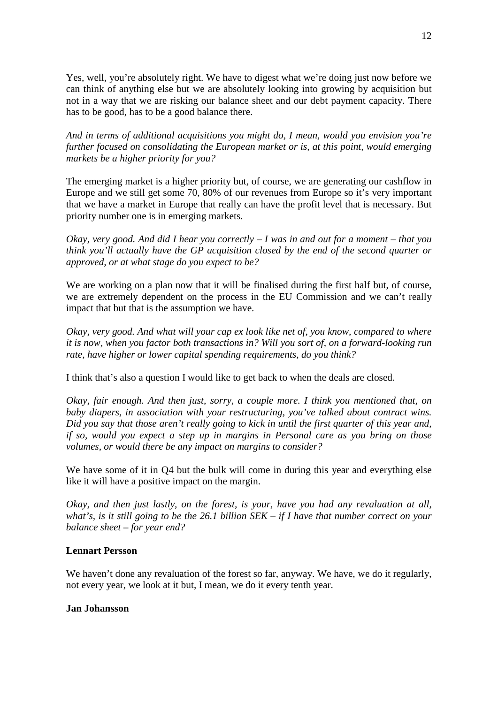Yes, well, you're absolutely right. We have to digest what we're doing just now before we can think of anything else but we are absolutely looking into growing by acquisition but not in a way that we are risking our balance sheet and our debt payment capacity. There has to be good, has to be a good balance there.

*And in terms of additional acquisitions you might do, I mean, would you envision you're further focused on consolidating the European market or is, at this point, would emerging markets be a higher priority for you?*

The emerging market is a higher priority but, of course, we are generating our cashflow in Europe and we still get some 70, 80% of our revenues from Europe so it's very important that we have a market in Europe that really can have the profit level that is necessary. But priority number one is in emerging markets.

*Okay, very good. And did I hear you correctly – I was in and out for a moment – that you think you'll actually have the GP acquisition closed by the end of the second quarter or approved, or at what stage do you expect to be?*

We are working on a plan now that it will be finalised during the first half but, of course, we are extremely dependent on the process in the EU Commission and we can't really impact that but that is the assumption we have.

*Okay, very good. And what will your cap ex look like net of, you know, compared to where it is now, when you factor both transactions in? Will you sort of, on a forward-looking run rate, have higher or lower capital spending requirements, do you think?*

I think that's also a question I would like to get back to when the deals are closed.

*Okay, fair enough. And then just, sorry, a couple more. I think you mentioned that, on baby diapers, in association with your restructuring, you've talked about contract wins. Did you say that those aren't really going to kick in until the first quarter of this year and, if so, would you expect a step up in margins in Personal care as you bring on those volumes, or would there be any impact on margins to consider?*

We have some of it in Q4 but the bulk will come in during this year and everything else like it will have a positive impact on the margin.

*Okay, and then just lastly, on the forest, is your, have you had any revaluation at all, what's, is it still going to be the 26.1 billion SEK – if I have that number correct on your balance sheet – for year end?*

## **Lennart Persson**

We haven't done any revaluation of the forest so far, anyway. We have, we do it regularly, not every year, we look at it but, I mean, we do it every tenth year.

### **Jan Johansson**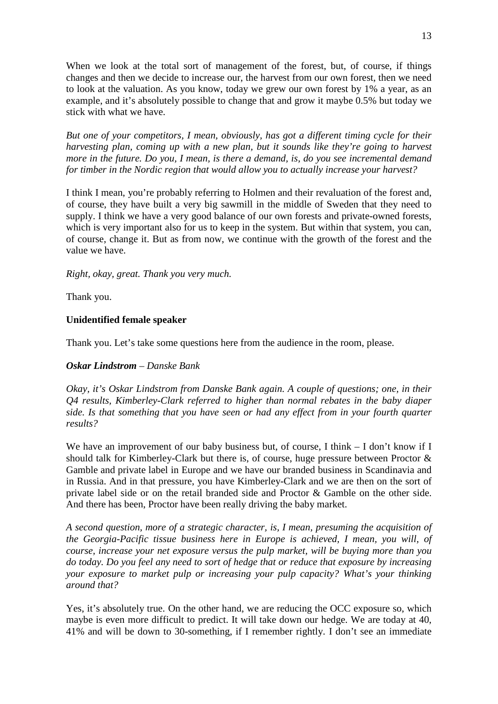When we look at the total sort of management of the forest, but, of course, if things changes and then we decide to increase our, the harvest from our own forest, then we need to look at the valuation. As you know, today we grew our own forest by 1% a year, as an example, and it's absolutely possible to change that and grow it maybe 0.5% but today we stick with what we have.

*But one of your competitors, I mean, obviously, has got a different timing cycle for their harvesting plan, coming up with a new plan, but it sounds like they're going to harvest more in the future. Do you, I mean, is there a demand, is, do you see incremental demand for timber in the Nordic region that would allow you to actually increase your harvest?*

I think I mean, you're probably referring to Holmen and their revaluation of the forest and, of course, they have built a very big sawmill in the middle of Sweden that they need to supply. I think we have a very good balance of our own forests and private-owned forests, which is very important also for us to keep in the system. But within that system, you can, of course, change it. But as from now, we continue with the growth of the forest and the value we have.

*Right, okay, great. Thank you very much.*

Thank you.

## **Unidentified female speaker**

Thank you. Let's take some questions here from the audience in the room, please.

## *Oskar Lindstrom – Danske Bank*

*Okay, it's Oskar Lindstrom from Danske Bank again. A couple of questions; one, in their Q4 results, Kimberley-Clark referred to higher than normal rebates in the baby diaper side. Is that something that you have seen or had any effect from in your fourth quarter results?*

We have an improvement of our baby business but, of course, I think  $-$  I don't know if I should talk for Kimberley-Clark but there is, of course, huge pressure between Proctor & Gamble and private label in Europe and we have our branded business in Scandinavia and in Russia. And in that pressure, you have Kimberley-Clark and we are then on the sort of private label side or on the retail branded side and Proctor & Gamble on the other side. And there has been, Proctor have been really driving the baby market.

*A second question, more of a strategic character, is, I mean, presuming the acquisition of the Georgia-Pacific tissue business here in Europe is achieved, I mean, you will, of course, increase your net exposure versus the pulp market, will be buying more than you do today. Do you feel any need to sort of hedge that or reduce that exposure by increasing your exposure to market pulp or increasing your pulp capacity? What's your thinking around that?*

Yes, it's absolutely true. On the other hand, we are reducing the OCC exposure so, which maybe is even more difficult to predict. It will take down our hedge. We are today at 40, 41% and will be down to 30-something, if I remember rightly. I don't see an immediate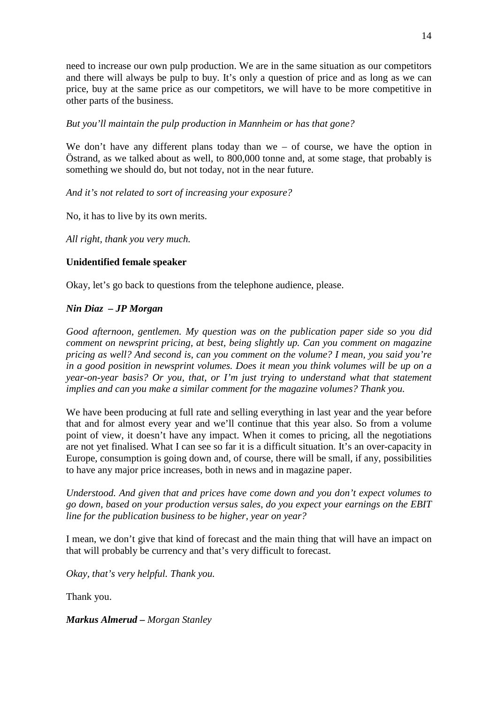need to increase our own pulp production. We are in the same situation as our competitors and there will always be pulp to buy. It's only a question of price and as long as we can price, buy at the same price as our competitors, we will have to be more competitive in other parts of the business.

## *But you'll maintain the pulp production in Mannheim or has that gone?*

We don't have any different plans today than we – of course, we have the option in Östrand, as we talked about as well, to 800,000 tonne and, at some stage, that probably is something we should do, but not today, not in the near future.

## *And it's not related to sort of increasing your exposure?*

No, it has to live by its own merits.

*All right, thank you very much.*

## **Unidentified female speaker**

Okay, let's go back to questions from the telephone audience, please.

## *Nin Diaz – JP Morgan*

*Good afternoon, gentlemen. My question was on the publication paper side so you did comment on newsprint pricing, at best, being slightly up. Can you comment on magazine pricing as well? And second is, can you comment on the volume? I mean, you said you're in a good position in newsprint volumes. Does it mean you think volumes will be up on a year-on-year basis? Or you, that, or I'm just trying to understand what that statement implies and can you make a similar comment for the magazine volumes? Thank you.*

We have been producing at full rate and selling everything in last year and the year before that and for almost every year and we'll continue that this year also. So from a volume point of view, it doesn't have any impact. When it comes to pricing, all the negotiations are not yet finalised. What I can see so far it is a difficult situation. It's an over-capacity in Europe, consumption is going down and, of course, there will be small, if any, possibilities to have any major price increases, both in news and in magazine paper.

*Understood. And given that and prices have come down and you don't expect volumes to go down, based on your production versus sales, do you expect your earnings on the EBIT line for the publication business to be higher, year on year?*

I mean, we don't give that kind of forecast and the main thing that will have an impact on that will probably be currency and that's very difficult to forecast.

*Okay, that's very helpful. Thank you.*

Thank you.

### *Markus Almerud – Morgan Stanley*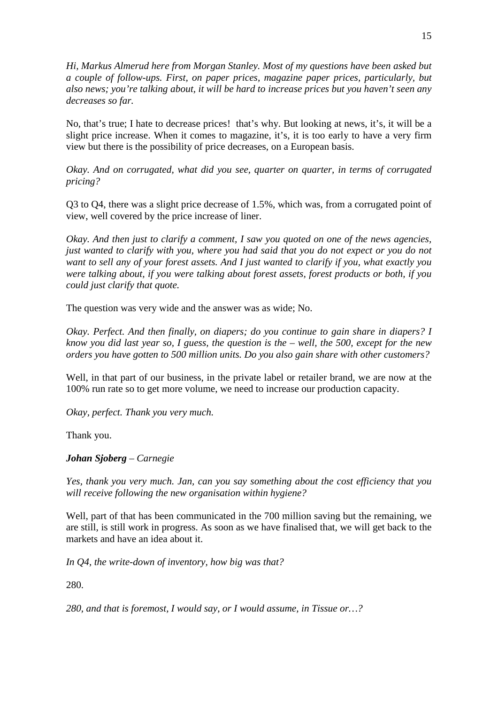*Hi, Markus Almerud here from Morgan Stanley. Most of my questions have been asked but a couple of follow-ups. First, on paper prices, magazine paper prices, particularly, but also news; you're talking about, it will be hard to increase prices but you haven't seen any decreases so far.*

No, that's true; I hate to decrease prices! that's why. But looking at news, it's, it will be a slight price increase. When it comes to magazine, it's, it is too early to have a very firm view but there is the possibility of price decreases, on a European basis.

*Okay. And on corrugated, what did you see, quarter on quarter, in terms of corrugated pricing?*

Q3 to Q4, there was a slight price decrease of 1.5%, which was, from a corrugated point of view, well covered by the price increase of liner.

*Okay. And then just to clarify a comment, I saw you quoted on one of the news agencies, just wanted to clarify with you, where you had said that you do not expect or you do not want to sell any of your forest assets. And I just wanted to clarify if you, what exactly you were talking about, if you were talking about forest assets, forest products or both, if you could just clarify that quote.*

The question was very wide and the answer was as wide; No.

*Okay. Perfect. And then finally, on diapers; do you continue to gain share in diapers? I know you did last year so, I guess, the question is the – well, the 500, except for the new orders you have gotten to 500 million units. Do you also gain share with other customers?*

Well, in that part of our business, in the private label or retailer brand, we are now at the 100% run rate so to get more volume, we need to increase our production capacity.

*Okay, perfect. Thank you very much.*

Thank you.

*Johan Sjoberg – Carnegie*

*Yes, thank you very much. Jan, can you say something about the cost efficiency that you will receive following the new organisation within hygiene?*

Well, part of that has been communicated in the 700 million saving but the remaining, we are still, is still work in progress. As soon as we have finalised that, we will get back to the markets and have an idea about it.

*In Q4, the write-down of inventory, how big was that?*

280.

*280, and that is foremost, I would say, or I would assume, in Tissue or…?*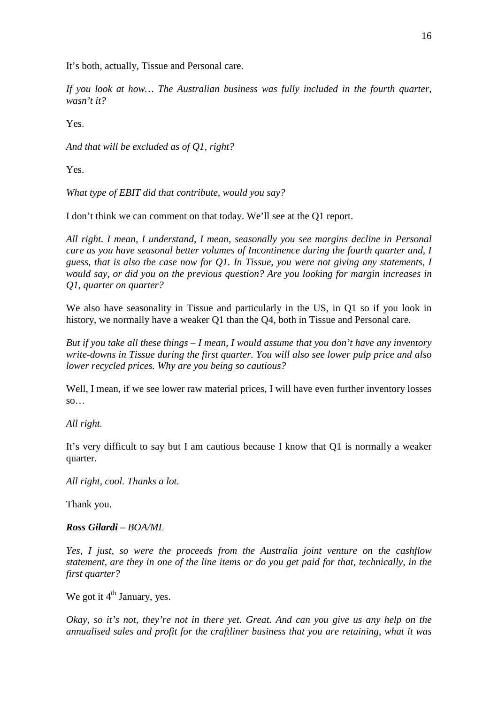It's both, actually, Tissue and Personal care.

*If you look at how… The Australian business was fully included in the fourth quarter, wasn't it?*

Yes.

*And that will be excluded as of Q1, right?*

Yes.

*What type of EBIT did that contribute, would you say?*

I don't think we can comment on that today. We'll see at the Q1 report.

*All right. I mean, I understand, I mean, seasonally you see margins decline in Personal care as you have seasonal better volumes of Incontinence during the fourth quarter and, I guess, that is also the case now for Q1. In Tissue, you were not giving any statements, I would say, or did you on the previous question? Are you looking for margin increases in Q1, quarter on quarter?*

We also have seasonality in Tissue and particularly in the US, in O1 so if you look in history, we normally have a weaker Q1 than the Q4, both in Tissue and Personal care.

*But if you take all these things – I mean, I would assume that you don't have any inventory write-downs in Tissue during the first quarter. You will also see lower pulp price and also lower recycled prices. Why are you being so cautious?*

Well, I mean, if we see lower raw material prices, I will have even further inventory losses  $SO...$ 

*All right.*

It's very difficult to say but I am cautious because I know that Q1 is normally a weaker quarter.

*All right, cool. Thanks a lot.*

Thank you.

#### *Ross Gilardi – BOA/ML*

*Yes, I just, so were the proceeds from the Australia joint venture on the cashflow statement, are they in one of the line items or do you get paid for that, technically, in the first quarter?*

We got it  $4<sup>th</sup>$  January, yes.

*Okay, so it's not, they're not in there yet. Great. And can you give us any help on the annualised sales and profit for the craftliner business that you are retaining, what it was*